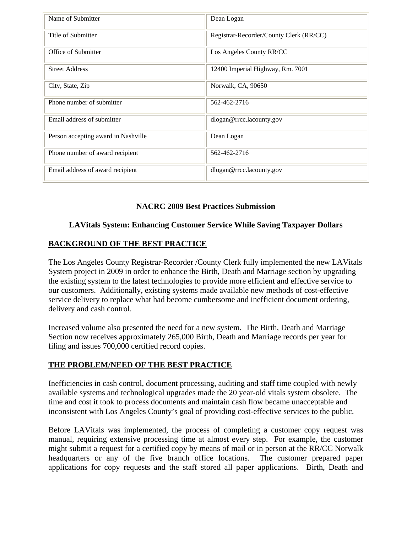| Name of Submitter                   | Dean Logan                              |
|-------------------------------------|-----------------------------------------|
| Title of Submitter                  | Registrar-Recorder/County Clerk (RR/CC) |
| Office of Submitter                 | Los Angeles County RR/CC                |
| <b>Street Address</b>               | 12400 Imperial Highway, Rm. 7001        |
| City, State, Zip                    | Norwalk, CA, 90650                      |
| Phone number of submitter           | 562-462-2716                            |
| Email address of submitter          | dlogan@rrcc.lacounty.gov                |
| Person accepting award in Nashville | Dean Logan                              |
| Phone number of award recipient     | 562-462-2716                            |
| Email address of award recipient    | dlogan@rrcc.lacounty.gov                |

### **NACRC 2009 Best Practices Submission**

### **LAVitals System: Enhancing Customer Service While Saving Taxpayer Dollars**

### **BACKGROUND OF THE BEST PRACTICE**

The Los Angeles County Registrar-Recorder /County Clerk fully implemented the new LAVitals System project in 2009 in order to enhance the Birth, Death and Marriage section by upgrading the existing system to the latest technologies to provide more efficient and effective service to our customers. Additionally, existing systems made available new methods of cost-effective service delivery to replace what had become cumbersome and inefficient document ordering, delivery and cash control.

Increased volume also presented the need for a new system. The Birth, Death and Marriage Section now receives approximately 265,000 Birth, Death and Marriage records per year for filing and issues 700,000 certified record copies.

### **THE PROBLEM/NEED OF THE BEST PRACTICE**

Inefficiencies in cash control, document processing, auditing and staff time coupled with newly available systems and technological upgrades made the 20 year-old vitals system obsolete. The time and cost it took to process documents and maintain cash flow became unacceptable and inconsistent with Los Angeles County's goal of providing cost-effective services to the public.

Before LAVitals was implemented, the process of completing a customer copy request was manual, requiring extensive processing time at almost every step. For example, the customer might submit a request for a certified copy by means of mail or in person at the RR/CC Norwalk headquarters or any of the five branch office locations. The customer prepared paper applications for copy requests and the staff stored all paper applications. Birth, Death and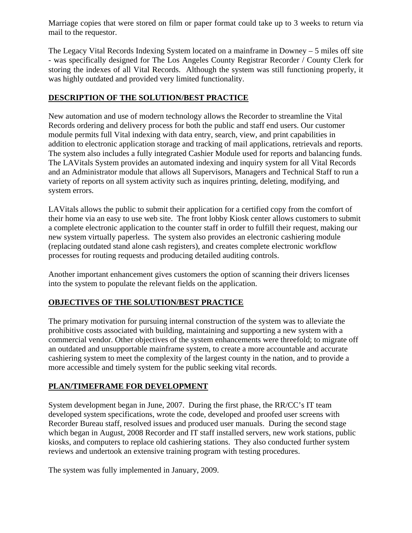Marriage copies that were stored on film or paper format could take up to 3 weeks to return via mail to the requestor.

The Legacy Vital Records Indexing System located on a mainframe in Downey – 5 miles off site - was specifically designed for The Los Angeles County Registrar Recorder / County Clerk for storing the indexes of all Vital Records. Although the system was still functioning properly, it was highly outdated and provided very limited functionality.

### **DESCRIPTION OF THE SOLUTION/BEST PRACTICE**

New automation and use of modern technology allows the Recorder to streamline the Vital Records ordering and delivery process for both the public and staff end users. Our customer module permits full Vital indexing with data entry, search, view, and print capabilities in addition to electronic application storage and tracking of mail applications, retrievals and reports. The system also includes a fully integrated Cashier Module used for reports and balancing funds. The LAVitals System provides an automated indexing and inquiry system for all Vital Records and an Administrator module that allows all Supervisors, Managers and Technical Staff to run a variety of reports on all system activity such as inquires printing, deleting, modifying, and system errors.

LAVitals allows the public to submit their application for a certified copy from the comfort of their home via an easy to use web site. The front lobby Kiosk center allows customers to submit a complete electronic application to the counter staff in order to fulfill their request, making our new system virtually paperless. The system also provides an electronic cashiering module (replacing outdated stand alone cash registers), and creates complete electronic workflow processes for routing requests and producing detailed auditing controls.

Another important enhancement gives customers the option of scanning their drivers licenses into the system to populate the relevant fields on the application.

## **OBJECTIVES OF THE SOLUTION/BEST PRACTICE**

The primary motivation for pursuing internal construction of the system was to alleviate the prohibitive costs associated with building, maintaining and supporting a new system with a commercial vendor. Other objectives of the system enhancements were threefold; to migrate off an outdated and unsupportable mainframe system, to create a more accountable and accurate cashiering system to meet the complexity of the largest county in the nation, and to provide a more accessible and timely system for the public seeking vital records.

# **PLAN/TIMEFRAME FOR DEVELOPMENT**

System development began in June, 2007. During the first phase, the RR/CC's IT team developed system specifications, wrote the code, developed and proofed user screens with Recorder Bureau staff, resolved issues and produced user manuals. During the second stage which began in August, 2008 Recorder and IT staff installed servers, new work stations, public kiosks, and computers to replace old cashiering stations. They also conducted further system reviews and undertook an extensive training program with testing procedures.

The system was fully implemented in January, 2009.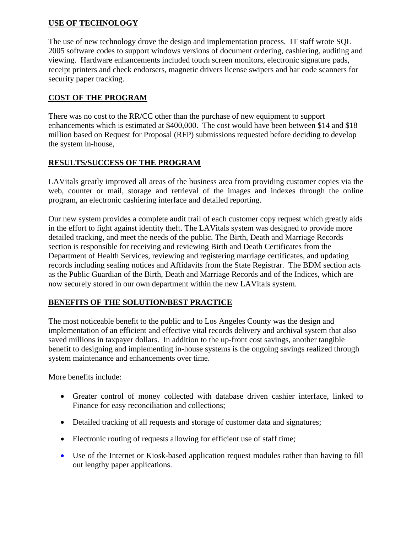### **USE OF TECHNOLOGY**

The use of new technology drove the design and implementation process. IT staff wrote SQL 2005 software codes to support windows versions of document ordering, cashiering, auditing and viewing. Hardware enhancements included touch screen monitors, electronic signature pads, receipt printers and check endorsers, magnetic drivers license swipers and bar code scanners for security paper tracking.

### **COST OF THE PROGRAM**

There was no cost to the RR/CC other than the purchase of new equipment to support enhancements which is estimated at \$400,000. The cost would have been between \$14 and \$18 million based on Request for Proposal (RFP) submissions requested before deciding to develop the system in-house,

### **RESULTS/SUCCESS OF THE PROGRAM**

LAVitals greatly improved all areas of the business area from providing customer copies via the web, counter or mail, storage and retrieval of the images and indexes through the online program, an electronic cashiering interface and detailed reporting.

Our new system provides a complete audit trail of each customer copy request which greatly aids in the effort to fight against identity theft. The LAVitals system was designed to provide more detailed tracking, and meet the needs of the public. The Birth, Death and Marriage Records section is responsible for receiving and reviewing Birth and Death Certificates from the Department of Health Services, reviewing and registering marriage certificates, and updating records including sealing notices and Affidavits from the State Registrar. The BDM section acts as the Public Guardian of the Birth, Death and Marriage Records and of the Indices, which are now securely stored in our own department within the new LAVitals system.

#### **BENEFITS OF THE SOLUTION/BEST PRACTICE**

The most noticeable benefit to the public and to Los Angeles County was the design and implementation of an efficient and effective vital records delivery and archival system that also saved millions in taxpayer dollars. In addition to the up-front cost savings, another tangible benefit to designing and implementing in-house systems is the ongoing savings realized through system maintenance and enhancements over time.

More benefits include:

- Greater control of money collected with database driven cashier interface, linked to Finance for easy reconciliation and collections;
- Detailed tracking of all requests and storage of customer data and signatures;
- Electronic routing of requests allowing for efficient use of staff time;
- Use of the Internet or Kiosk-based application request modules rather than having to fill out lengthy paper applications.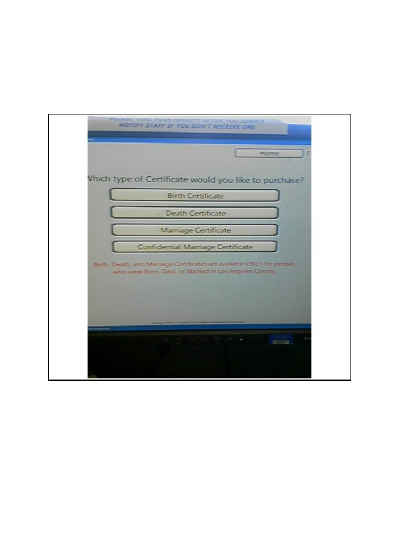